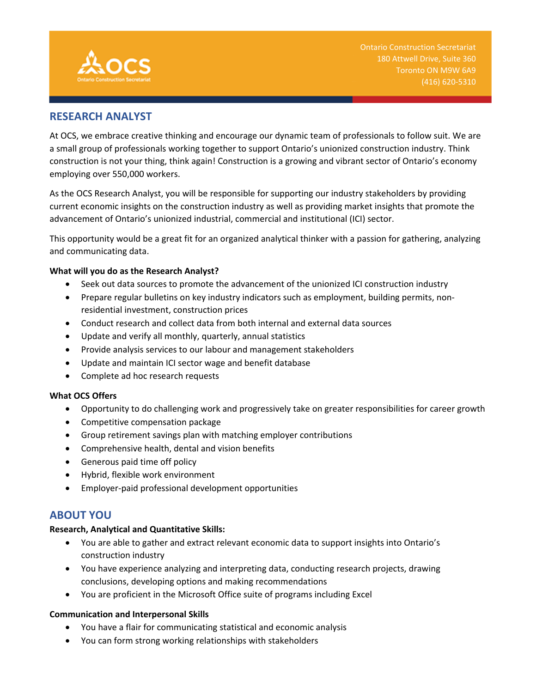

# **RESEARCH ANALYST**

At OCS, we embrace creative thinking and encourage our dynamic team of professionals to follow suit. We are a small group of professionals working together to support Ontario's unionized construction industry. Think construction is not your thing, think again! Construction is a growing and vibrant sector of Ontario's economy employing over 550,000 workers.

As the OCS Research Analyst, you will be responsible for supporting our industry stakeholders by providing current economic insights on the construction industry as well as providing market insights that promote the advancement of Ontario's unionized industrial, commercial and institutional (ICI) sector.

This opportunity would be a great fit for an organized analytical thinker with a passion for gathering, analyzing and communicating data.

## **What will you do as the Research Analyst?**

- Seek out data sources to promote the advancement of the unionized ICI construction industry
- Prepare regular bulletins on key industry indicators such as employment, building permits, nonresidential investment, construction prices
- Conduct research and collect data from both internal and external data sources
- Update and verify all monthly, quarterly, annual statistics
- Provide analysis services to our labour and management stakeholders
- Update and maintain ICI sector wage and benefit database
- Complete ad hoc research requests

## **What OCS Offers**

- Opportunity to do challenging work and progressively take on greater responsibilities for career growth
- Competitive compensation package
- Group retirement savings plan with matching employer contributions
- Comprehensive health, dental and vision benefits
- Generous paid time off policy
- Hybrid, flexible work environment
- Employer‐paid professional development opportunities

## **ABOUT YOU**

## **Research, Analytical and Quantitative Skills:**

- You are able to gather and extract relevant economic data to support insights into Ontario's construction industry
- You have experience analyzing and interpreting data, conducting research projects, drawing conclusions, developing options and making recommendations
- You are proficient in the Microsoft Office suite of programs including Excel

## **Communication and Interpersonal Skills**

- You have a flair for communicating statistical and economic analysis
- You can form strong working relationships with stakeholders